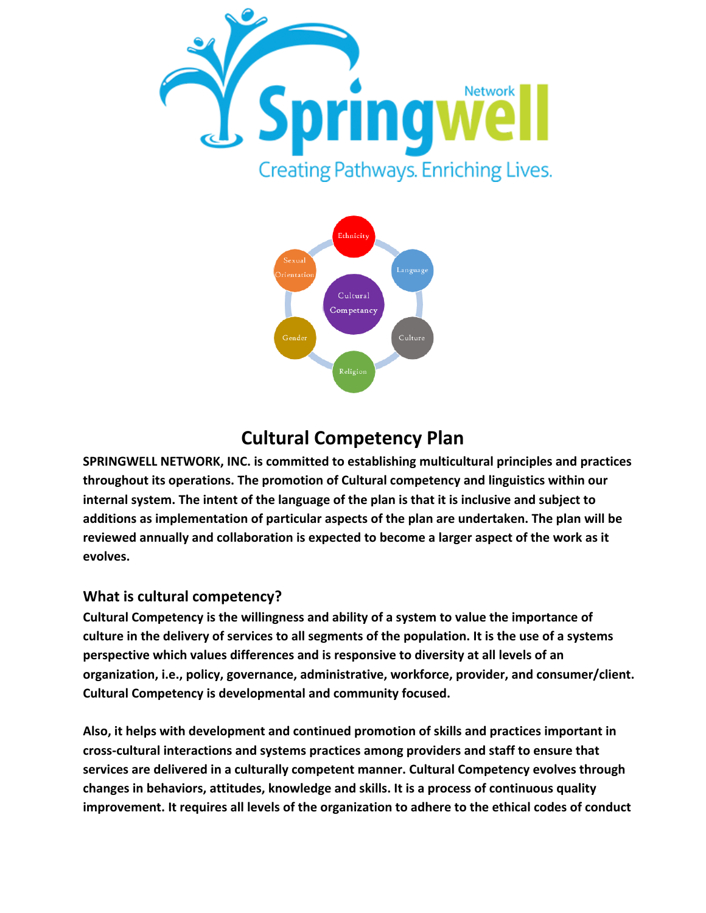



## **Cultural Competency Plan**

**SPRINGWELL NETWORK, INC. is committed to establishing multicultural principles and practices throughout its operations. The promotion of Cultural competency and linguistics within our internal system. The intent of the language of the plan is that it is inclusive and subject to additions as implementation of particular aspects of the plan are undertaken. The plan will be reviewed annually and collaboration is expected to become a larger aspect of the work as it evolves.**

## **What is cultural competency?**

**Cultural Competency is the willingness and ability of a system to value the importance of culture in the delivery of services to all segments of the population. It is the use of a systems perspective which values differences and is responsive to diversity at all levels of an organization, i.e., policy, governance, administrative, workforce, provider, and consumer/client. Cultural Competency is developmental and community focused.**

**Also, it helps with development and continued promotion of skills and practices important in cross-cultural interactions and systems practices among providers and staff to ensure that services are delivered in a culturally competent manner. Cultural Competency evolves through changes in behaviors, attitudes, knowledge and skills. It is a process of continuous quality improvement. It requires all levels of the organization to adhere to the ethical codes of conduct**